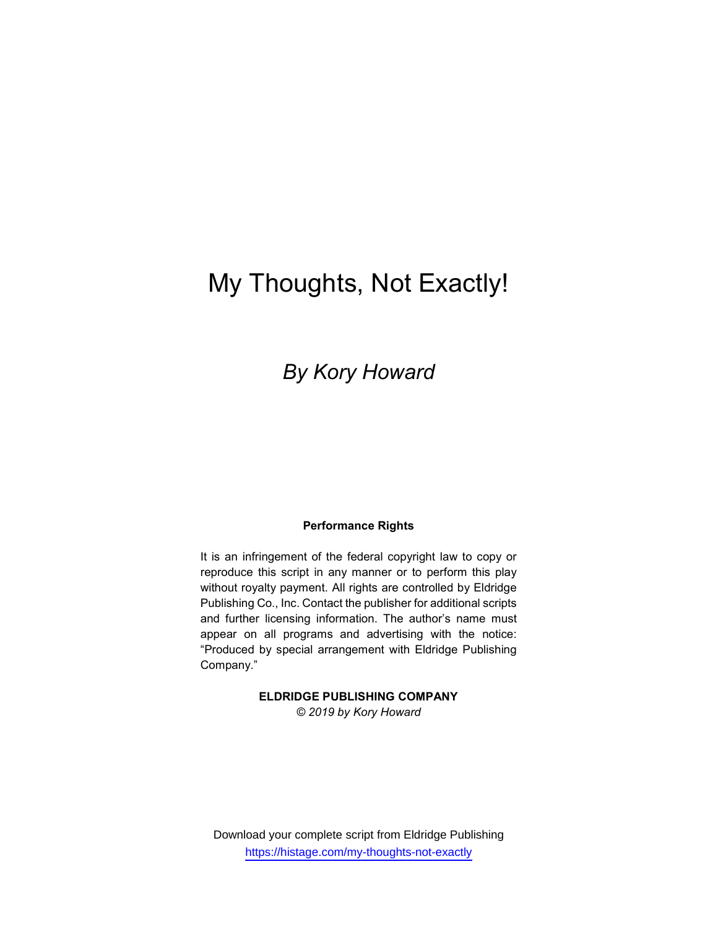# My Thoughts, Not Exactly!

## By Kory Howard

#### Performance Rights

It is an infringement of the federal copyright law to copy or reproduce this script in any manner or to perform this play without royalty payment. All rights are controlled by Eldridge Publishing Co., Inc. Contact the publisher for additional scripts and further licensing information. The author's name must appear on all programs and advertising with the notice: "Produced by special arrangement with Eldridge Publishing Company."

ELDRIDGE PUBLISHING COMPANY

© 2019 by Kory Howard

Download your complete script from Eldridge Publishing https://histage.com/my-thoughts-not-exactly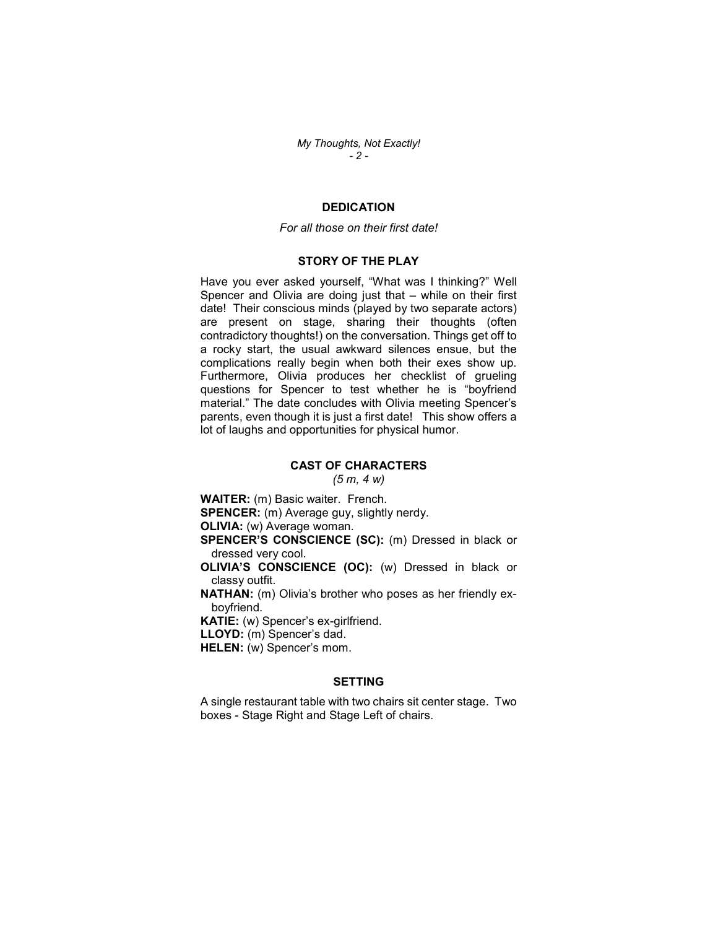My Thoughts, Not Exactly! - 2 -

#### **DEDICATION**

#### For all those on their first date!

#### STORY OF THE PLAY

Have you ever asked yourself, "What was I thinking?" Well Spencer and Olivia are doing just that – while on their first date! Their conscious minds (played by two separate actors) are present on stage, sharing their thoughts (often contradictory thoughts!) on the conversation. Things get off to a rocky start, the usual awkward silences ensue, but the complications really begin when both their exes show up. Furthermore, Olivia produces her checklist of grueling questions for Spencer to test whether he is "boyfriend material." The date concludes with Olivia meeting Spencer's parents, even though it is just a first date! This show offers a lot of laughs and opportunities for physical humor.

#### CAST OF CHARACTERS

 $(5 m, 4 w)$ 

WAITER: (m) Basic waiter. French. SPENCER: (m) Average guy, slightly nerdy. OLIVIA: (w) Average woman. SPENCER'S CONSCIENCE (SC): (m) Dressed in black or dressed very cool. OLIVIA'S CONSCIENCE (OC): (w) Dressed in black or classy outfit. NATHAN: (m) Olivia's brother who poses as her friendly exboyfriend. KATIE: (w) Spencer's ex-girlfriend. LLOYD: (m) Spencer's dad. HELEN: (w) Spencer's mom.

#### **SETTING**

A single restaurant table with two chairs sit center stage. Two boxes - Stage Right and Stage Left of chairs.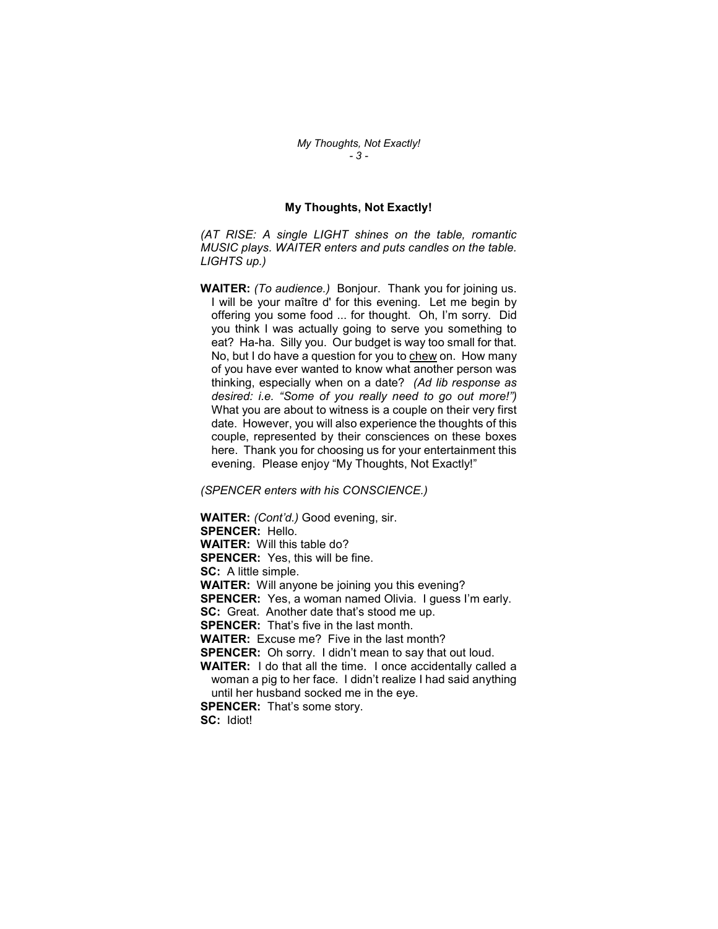#### My Thoughts, Not Exactly!

(AT RISE: A single LIGHT shines on the table, romantic MUSIC plays. WAITER enters and puts candles on the table. LIGHTS up.)

WAITER: (To audience.) Bonjour. Thank you for joining us. I will be your maître d' for this evening. Let me begin by offering you some food ... for thought. Oh, I'm sorry. Did you think I was actually going to serve you something to eat? Ha-ha. Silly you. Our budget is way too small for that. No, but I do have a question for you to chew on. How many of you have ever wanted to know what another person was thinking, especially when on a date? (Ad lib response as desired: i.e. "Some of you really need to go out more!") What you are about to witness is a couple on their very first date. However, you will also experience the thoughts of this couple, represented by their consciences on these boxes here. Thank you for choosing us for your entertainment this evening. Please enjoy "My Thoughts, Not Exactly!"

(SPENCER enters with his CONSCIENCE.)

WAITER: (Cont'd.) Good evening, sir. SPENCER: Hello. WAITER: Will this table do? SPENCER: Yes, this will be fine. SC: A little simple. WAITER: Will anyone be joining you this evening? SPENCER: Yes, a woman named Olivia. I guess I'm early. SC: Great. Another date that's stood me up. **SPENCER:** That's five in the last month. WAITER: Excuse me? Five in the last month? SPENCER: Oh sorry. I didn't mean to say that out loud. WAITER: I do that all the time. I once accidentally called a woman a pig to her face. I didn't realize I had said anything until her husband socked me in the eye. **SPENCER:** That's some story. SC: Idiot!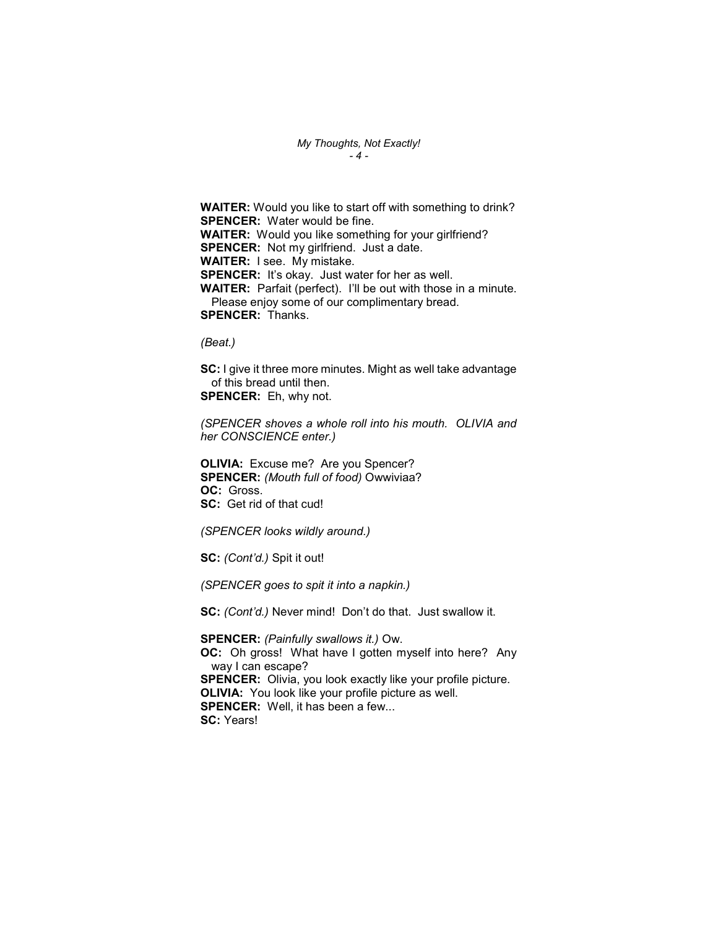My Thoughts, Not Exactly! - 4 -

WAITER: Would you like to start off with something to drink? SPENCER: Water would be fine. WAITER: Would you like something for your girlfriend? **SPENCER:** Not my girlfriend. Just a date. WAITER: I see. My mistake. SPENCER: It's okay. Just water for her as well. WAITER: Parfait (perfect). I'll be out with those in a minute. Please enjoy some of our complimentary bread. SPENCER: Thanks.

(Beat.)

SC: I give it three more minutes. Might as well take advantage of this bread until then. SPENCER: Eh, why not.

(SPENCER shoves a whole roll into his mouth. OLIVIA and her CONSCIENCE enter.)

OLIVIA: Excuse me? Are you Spencer? SPENCER: (Mouth full of food) Owwiviaa? OC: Gross. SC: Get rid of that cud!

(SPENCER looks wildly around.)

SC: (Cont'd.) Spit it out!

(SPENCER goes to spit it into a napkin.)

SC: (Cont'd.) Never mind! Don't do that. Just swallow it.

SPENCER: (Painfully swallows it.) Ow. OC: Oh gross! What have I gotten myself into here? Any way I can escape? SPENCER: Olivia, you look exactly like your profile picture. OLIVIA: You look like your profile picture as well. **SPENCER:** Well, it has been a few... SC: Years!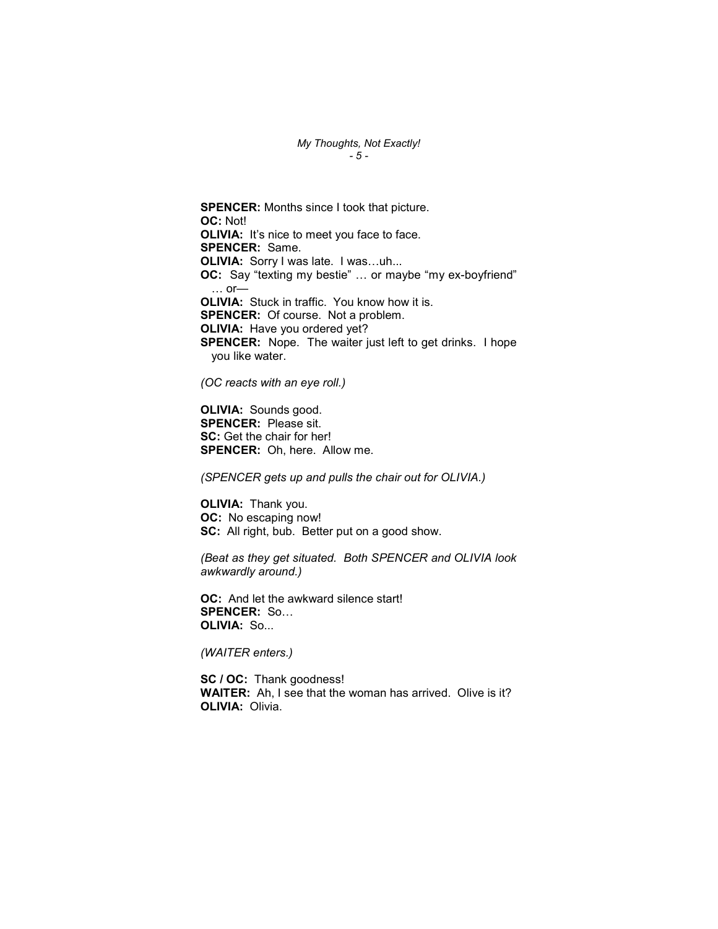#### My Thoughts, Not Exactly! - 5 -

SPENCER: Months since I took that picture. OC: Not! OLIVIA: It's nice to meet you face to face. SPENCER: Same. OLIVIA: Sorry I was late. I was…uh... OC: Say "texting my bestie" … or maybe "my ex-boyfriend"  $\ldots$  or— OLIVIA: Stuck in traffic. You know how it is. SPENCER: Of course. Not a problem. OLIVIA: Have you ordered yet? SPENCER: Nope. The waiter just left to get drinks. I hope you like water.

(OC reacts with an eye roll.)

OLIVIA: Sounds good. SPENCER: Please sit. SC: Get the chair for her! SPENCER: Oh, here. Allow me.

(SPENCER gets up and pulls the chair out for OLIVIA.)

OLIVIA: Thank you. OC: No escaping now! SC: All right, bub. Better put on a good show.

(Beat as they get situated. Both SPENCER and OLIVIA look awkwardly around.)

OC: And let the awkward silence start! SPENCER: So… OLIVIA: So...

(WAITER enters.)

SC / OC: Thank goodness! WAITER: Ah, I see that the woman has arrived. Olive is it? OLIVIA: Olivia.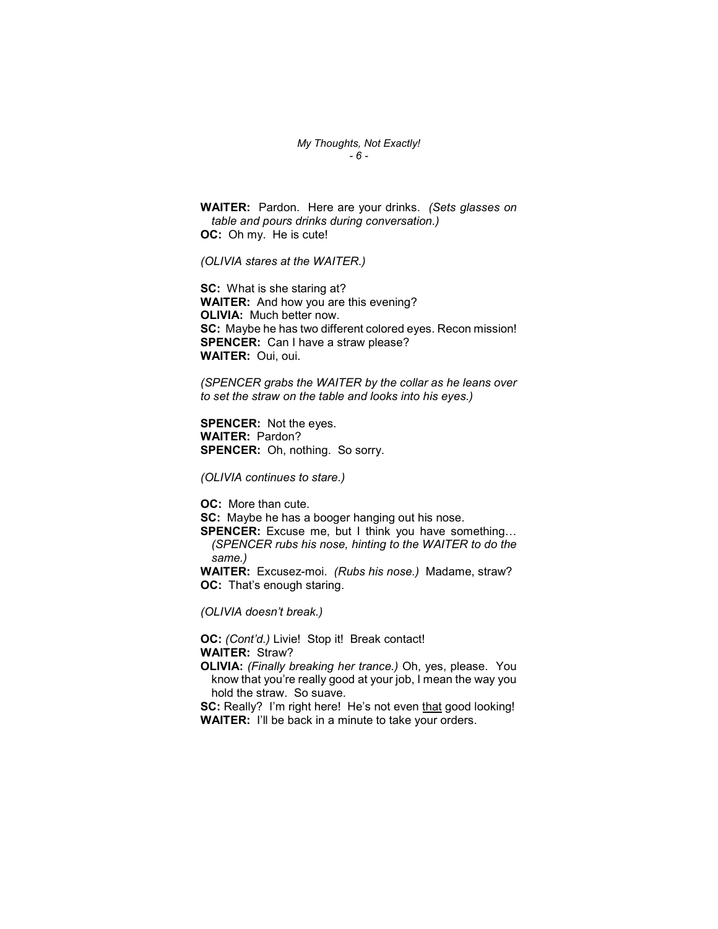My Thoughts, Not Exactly! - 6 -

WAITER: Pardon. Here are your drinks. (Sets glasses on table and pours drinks during conversation.) OC: Oh my. He is cute!

(OLIVIA stares at the WAITER.)

SC: What is she staring at? WAITER: And how you are this evening? OLIVIA: Much better now. SC: Maybe he has two different colored eyes. Recon mission! SPENCER: Can I have a straw please? WAITER: Oui, oui.

(SPENCER grabs the WAITER by the collar as he leans over to set the straw on the table and looks into his eyes.)

SPENCER: Not the eyes. WAITER: Pardon? SPENCER: Oh, nothing. So sorry.

(OLIVIA continues to stare.)

OC: More than cute.

SC: Maybe he has a booger hanging out his nose.

SPENCER: Excuse me, but I think you have something... (SPENCER rubs his nose, hinting to the WAITER to do the same.)

WAITER: Excusez-moi. (Rubs his nose.) Madame, straw? OC: That's enough staring.

(OLIVIA doesn't break.)

OC: (Cont'd.) Livie! Stop it! Break contact! WAITER: Straw?

OLIVIA: (Finally breaking her trance.) Oh, yes, please. You know that you're really good at your job, I mean the way you hold the straw. So suave.

SC: Really? I'm right here! He's not even that good looking! WAITER: I'll be back in a minute to take your orders.